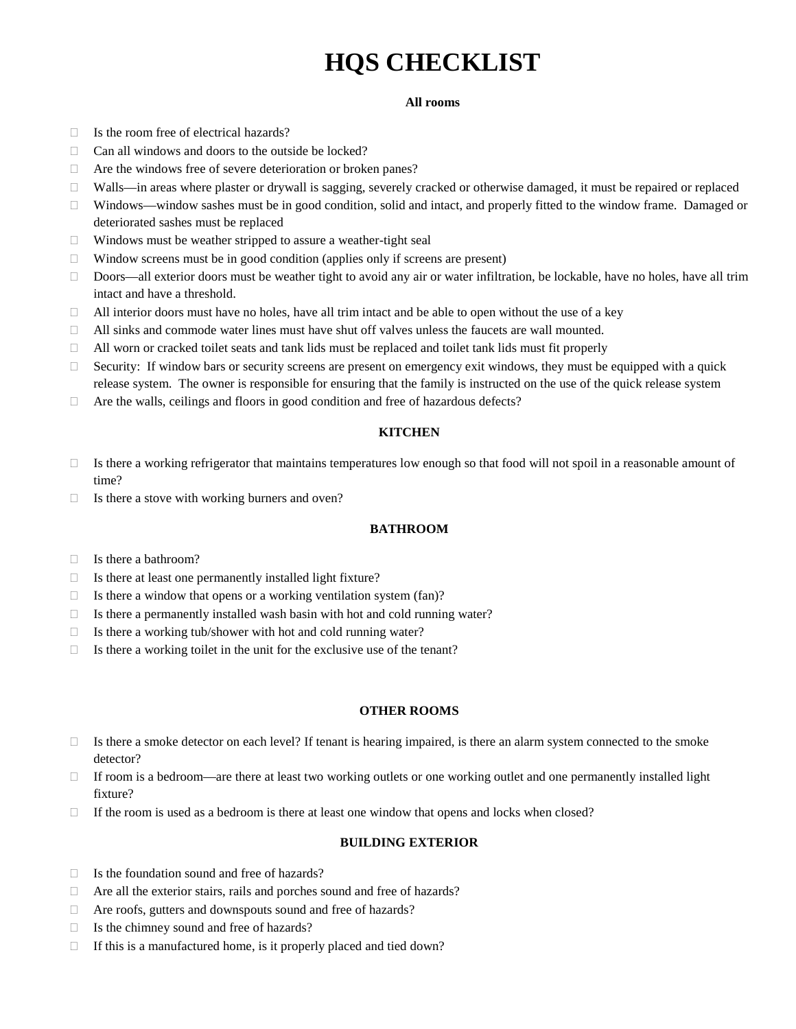# **HQS CHECKLIST**

#### **All rooms**

- $\Box$  Is the room free of electrical hazards?
- $\Box$  Can all windows and doors to the outside be locked?
- □ Are the windows free of severe deterioration or broken panes?
- $\Box$  Walls—in areas where plaster or drywall is sagging, severely cracked or otherwise damaged, it must be repaired or replaced
- Windows—window sashes must be in good condition, solid and intact, and properly fitted to the window frame. Damaged or deteriorated sashes must be replaced
- $\Box$  Windows must be weather stripped to assure a weather-tight seal
- $\Box$  Window screens must be in good condition (applies only if screens are present)
- $\Box$  Doors—all exterior doors must be weather tight to avoid any air or water infiltration, be lockable, have no holes, have all trim intact and have a threshold.
- $\Box$  All interior doors must have no holes, have all trim intact and be able to open without the use of a key
- All sinks and commode water lines must have shut off valves unless the faucets are wall mounted.
- $\Box$  All worn or cracked toilet seats and tank lids must be replaced and toilet tank lids must fit properly
- $\Box$  Security: If window bars or security screens are present on emergency exit windows, they must be equipped with a quick release system. The owner is responsible for ensuring that the family is instructed on the use of the quick release system
- $\Box$  Are the walls, ceilings and floors in good condition and free of hazardous defects?

#### **KITCHEN**

- $\Box$  Is there a working refrigerator that maintains temperatures low enough so that food will not spoil in a reasonable amount of time?
- $\Box$  Is there a stove with working burners and oven?

#### **BATHROOM**

- □ Is there a bathroom?
- $\Box$  Is there at least one permanently installed light fixture?
- $\Box$  Is there a window that opens or a working ventilation system (fan)?
- $\Box$  Is there a permanently installed wash basin with hot and cold running water?
- $\Box$  Is there a working tub/shower with hot and cold running water?
- $\Box$  Is there a working toilet in the unit for the exclusive use of the tenant?

#### **OTHER ROOMS**

- $\Box$  Is there a smoke detector on each level? If tenant is hearing impaired, is there an alarm system connected to the smoke detector?
- $\Box$  If room is a bedroom—are there at least two working outlets or one working outlet and one permanently installed light fixture?
- $\Box$  If the room is used as a bedroom is there at least one window that opens and locks when closed?

#### **BUILDING EXTERIOR**

- $\Box$  Is the foundation sound and free of hazards?
- $\Box$  Are all the exterior stairs, rails and porches sound and free of hazards?
- Are roofs, gutters and downspouts sound and free of hazards?
- $\Box$  Is the chimney sound and free of hazards?
- $\Box$  If this is a manufactured home, is it properly placed and tied down?